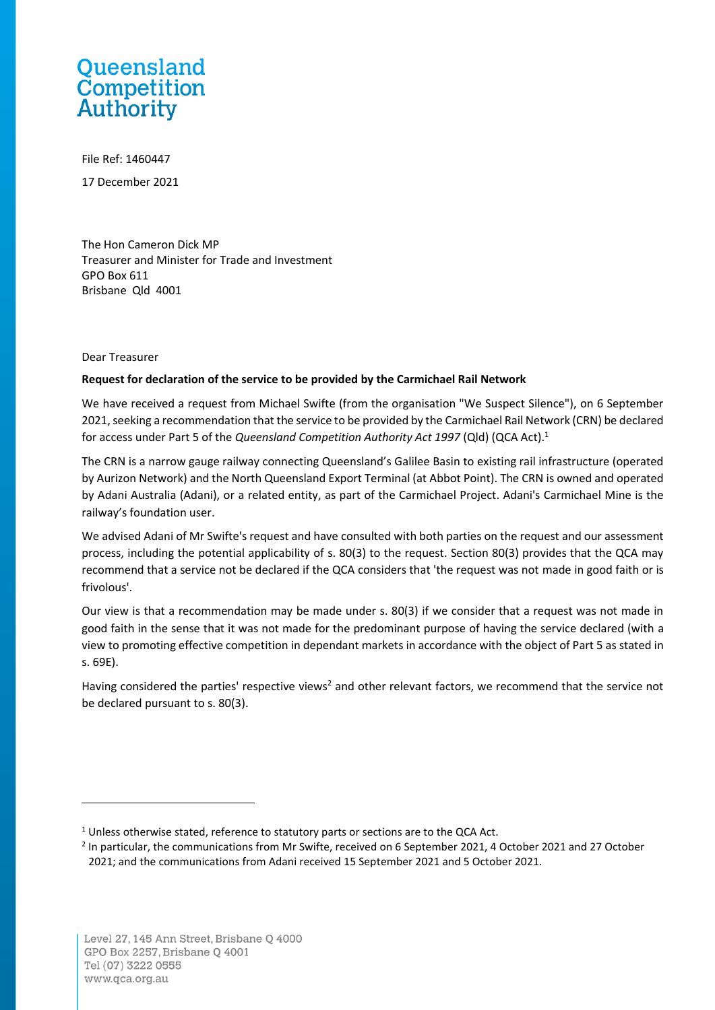## Queensland Competition Authority

File Ref: 1460447 17 December 2021

The Hon Cameron Dick MP Treasurer and Minister for Trade and Investment GPO Box 611 Brisbane Qld 4001

## Dear Treasurer

## **Request for declaration of the service to be provided by the Carmichael Rail Network**

We have received a request from Michael Swifte (from the organisation "We Suspect Silence"), on 6 September 2021, seeking a recommendation that the service to be provided by the Carmichael Rail Network (CRN) be declared for access under Part 5 of the *Queensland Competition Authority Act 1997* (Qld) (QCA Act).<sup>1</sup>

The CRN is a narrow gauge railway connecting Queensland's Galilee Basin to existing rail infrastructure (operated by Aurizon Network) and the North Queensland Export Terminal (at Abbot Point). The CRN is owned and operated by Adani Australia (Adani), or a related entity, as part of the Carmichael Project. Adani's Carmichael Mine is the railway's foundation user.

We advised Adani of Mr Swifte's request and have consulted with both parties on the request and our assessment process, including the potential applicability of s. 80(3) to the request. Section 80(3) provides that the QCA may recommend that a service not be declared if the QCA considers that 'the request was not made in good faith or is frivolous'.

Our view is that a recommendation may be made under s. 80(3) if we consider that a request was not made in good faith in the sense that it was not made for the predominant purpose of having the service declared (with a view to promoting effective competition in dependant markets in accordance with the object of Part 5 as stated in s. 69E).

Having considered the parties' respective views<sup>2</sup> and other relevant factors, we recommend that the service not be declared pursuant to s. 80(3).

<sup>&</sup>lt;sup>1</sup> Unless otherwise stated, reference to statutory parts or sections are to the QCA Act.

<sup>&</sup>lt;sup>2</sup> In particular, the communications from Mr Swifte, received on 6 September 2021, 4 October 2021 and 27 October 2021; and the communications from Adani received 15 September 2021 and 5 October 2021.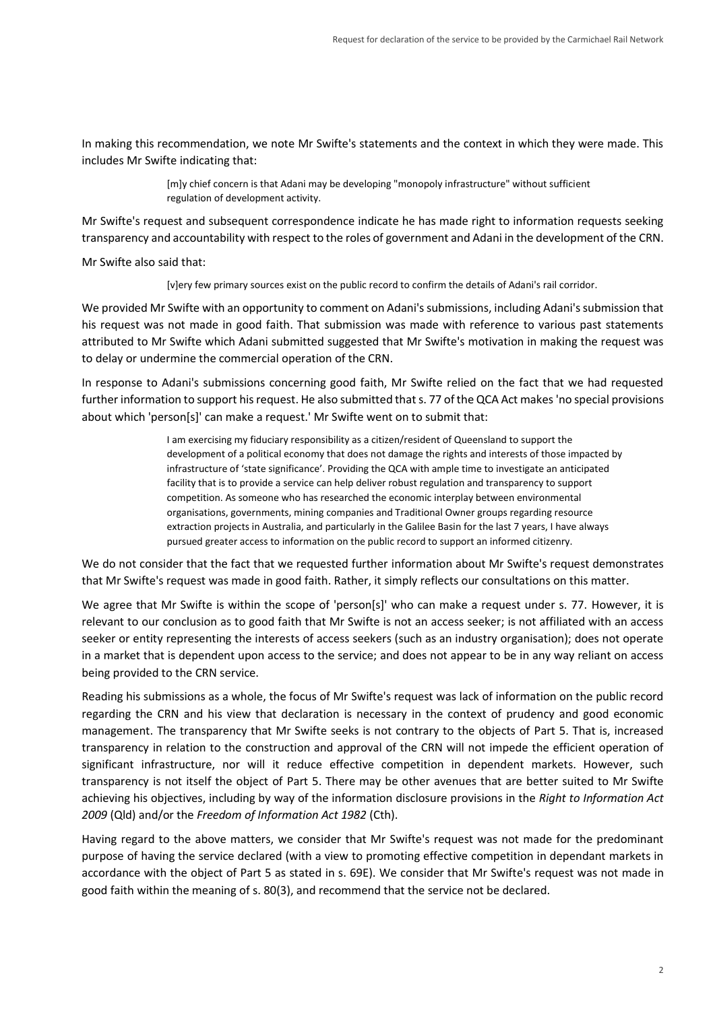In making this recommendation, we note Mr Swifte's statements and the context in which they were made. This includes Mr Swifte indicating that:

> [m]y chief concern is that Adani may be developing "monopoly infrastructure" without sufficient regulation of development activity.

Mr Swifte's request and subsequent correspondence indicate he has made right to information requests seeking transparency and accountability with respect to the roles of government and Adani in the development of the CRN.

Mr Swifte also said that:

[v]ery few primary sources exist on the public record to confirm the details of Adani's rail corridor.

We provided Mr Swifte with an opportunity to comment on Adani's submissions, including Adani's submission that his request was not made in good faith. That submission was made with reference to various past statements attributed to Mr Swifte which Adani submitted suggested that Mr Swifte's motivation in making the request was to delay or undermine the commercial operation of the CRN.

In response to Adani's submissions concerning good faith, Mr Swifte relied on the fact that we had requested further information to support his request. He also submitted that s. 77 of the QCA Act makes 'no special provisions about which 'person[s]' can make a request.' Mr Swifte went on to submit that:

> I am exercising my fiduciary responsibility as a citizen/resident of Queensland to support the development of a political economy that does not damage the rights and interests of those impacted by infrastructure of 'state significance'. Providing the QCA with ample time to investigate an anticipated facility that is to provide a service can help deliver robust regulation and transparency to support competition. As someone who has researched the economic interplay between environmental organisations, governments, mining companies and Traditional Owner groups regarding resource extraction projects in Australia, and particularly in the Galilee Basin for the last 7 years, I have always pursued greater access to information on the public record to support an informed citizenry.

We do not consider that the fact that we requested further information about Mr Swifte's request demonstrates that Mr Swifte's request was made in good faith. Rather, it simply reflects our consultations on this matter.

We agree that Mr Swifte is within the scope of 'person[s]' who can make a request under s. 77. However, it is relevant to our conclusion as to good faith that Mr Swifte is not an access seeker; is not affiliated with an access seeker or entity representing the interests of access seekers (such as an industry organisation); does not operate in a market that is dependent upon access to the service; and does not appear to be in any way reliant on access being provided to the CRN service.

Reading his submissions as a whole, the focus of Mr Swifte's request was lack of information on the public record regarding the CRN and his view that declaration is necessary in the context of prudency and good economic management. The transparency that Mr Swifte seeks is not contrary to the objects of Part 5. That is, increased transparency in relation to the construction and approval of the CRN will not impede the efficient operation of significant infrastructure, nor will it reduce effective competition in dependent markets. However, such transparency is not itself the object of Part 5. There may be other avenues that are better suited to Mr Swifte achieving his objectives, including by way of the information disclosure provisions in the *Right to Information Act 2009* (Qld) and/or the *Freedom of Information Act 1982* (Cth).

Having regard to the above matters, we consider that Mr Swifte's request was not made for the predominant purpose of having the service declared (with a view to promoting effective competition in dependant markets in accordance with the object of Part 5 as stated in s. 69E). We consider that Mr Swifte's request was not made in good faith within the meaning of s. 80(3), and recommend that the service not be declared.